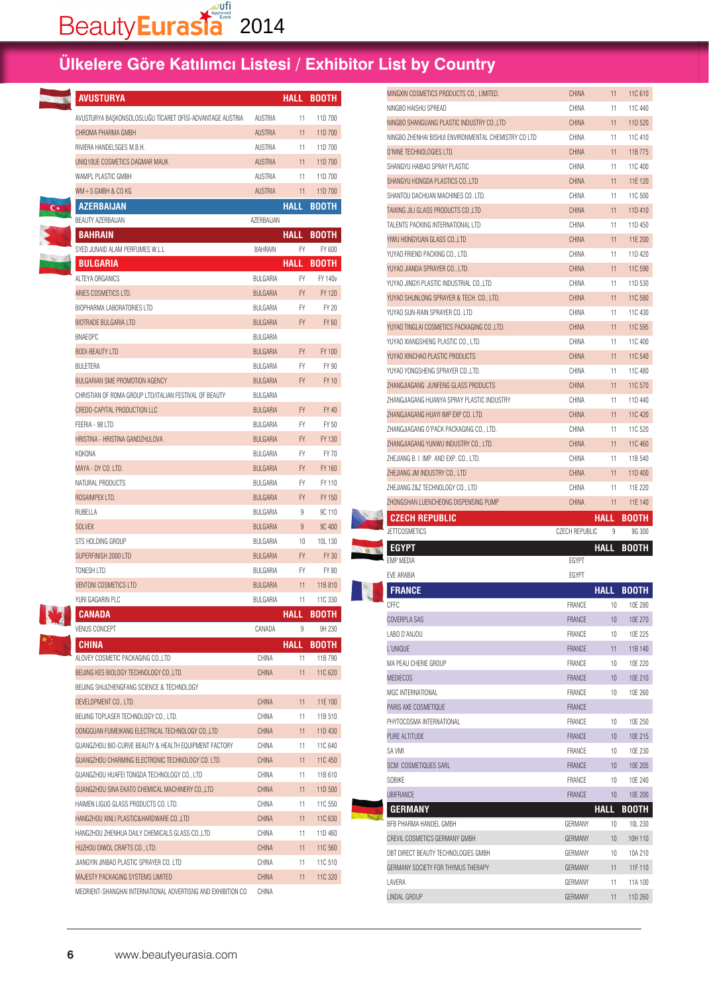| <b>AVUSTURYA</b>                                          |                 |             | <b>HALL BOOTH</b> |
|-----------------------------------------------------------|-----------------|-------------|-------------------|
| AVUSTURYA BAŞKONSOLOSLUĞU TİCARET OFİSİ-ADVANTAGE AUSTRIA | AUSTRIA         | 11          | 11D 700           |
| CHROMA PHARMA GMBH                                        | <b>AUSTRIA</b>  | 11          | 11D 700           |
| RIVIERA HANDELSGES M.B.H.                                 | AUSTRIA         | 11          | 11D 700           |
| UNIQ10UE COSMETICS DAGMAR MAUK                            | <b>AUSTRIA</b>  | 11          | 11D 700           |
| WAMPL PLASTIC GMBH                                        | AUSTRIA         | 11          | 11D 700           |
| WM+S GMBH & CO KG                                         | AUSTRIA         | 11          | 11D 700           |
| <b>AZERBAIJAN</b>                                         |                 | <b>HALL</b> | <b>BOOTH</b>      |
| BEAUTY AZERBAIJAN                                         | AZERBAIJAN      |             |                   |
| <b>BAHRAIN</b>                                            |                 | <b>HALL</b> | <b>BOOTH</b>      |
| SYED JUNAID ALAM PERFUMES W.L.L                           | BAHRAIN         | FY          | FY 600            |
| <b>BULGARIA</b>                                           |                 | <b>HALL</b> | <b>BOOTH</b>      |
| ALTEYA ORGANICS                                           | BULGARIA        | FY          | FY 140            |
| ARIES COSMETICS LTD.                                      | <b>BULGARIA</b> | <b>FY</b>   | FY 120            |
| BIOPHARMA LABORATORIES LTD                                | BULGARIA        | FY.         | FY 20             |
| <b>BIOTRADE BULGARIA LTD</b>                              | <b>BULGARIA</b> | <b>FY</b>   | FY 60             |
| <b>BNAEOPC</b>                                            | BULGARIA        |             |                   |
| <b>BODI-BEAUTY LTD</b>                                    | <b>BULGARIA</b> | FY.         | FY 100            |
| <b>BULFTERA</b>                                           | BULGARIA        | FY.         | FY 90             |
| BULGARIAN SME PROMOTION AGENCY                            | <b>BULGARIA</b> | FY.         | FY 10             |
| CHRISTIAN OF ROMA GROUP LTD/ITALIAN FESTIVAL OF BEAUTY    | BULGARIA        |             |                   |
| CREDO-CAPITAL PRODUCTION LLC                              | <b>BULGARIA</b> | FY.         | FY 40             |
| FEERIA - 98 LTD                                           | BULGARIA        | FY          | FY 50             |
| HRISTINA - HRISTINA GANDZHULOVA                           | <b>BULGARIA</b> | FY.         | FY 130            |
| KOKONA                                                    | BULGARIA        | FY          | FY 70             |
| MAYA - DY CO. LTD.                                        | <b>BULGARIA</b> | FY.         | FY 160            |
| NATURAL PRODUCTS                                          | BULGARIA        | FY          | FY 110            |
| ROSAIMPEX LTD.                                            | <b>BULGARIA</b> | <b>FY</b>   | FY 150            |
| RUBELLA                                                   | BULGARIA        | 9           | 9C 110            |
| SOLVEX                                                    | <b>BULGARIA</b> | 9           | 9C 400            |
| STS HOLDING GROUP                                         | BULGARIA        | 10          | 10L 130           |
| SUPERFINISH 2000 LTD                                      | <b>BULGARIA</b> | FY.         | FY 30             |
| TONESH LTD                                                | BULGARIA        | FY          | FY 80             |
| <b>VENTONI COSMETICS LTD</b>                              | <b>BULGARIA</b> | 11          | 11B 810           |
| YURI GAGARIN PLC                                          | BULGARIA        | 11          | 11C 330           |
| <b>CANADA</b>                                             |                 | HALL        | <b>BOOTH</b>      |
| VENUS CONCEPT                                             | CANADA          | 9           | 9H 230            |
| <b>CHINA</b>                                              |                 | HALL        | <b>BOOTH</b>      |
| ALOVEY COSMETIC PACKAGING CO.,LTD                         | CHINA           | 11          | 11B 790           |
| BEIJING KES BIOLOGY TECHNOLOGY CO., LTD.                  | CHINA           | 11          | 11C 620           |
| BEIJING SHIJIZHENGFANG SCIENCE & TECHNOLOGY               |                 |             |                   |
| DEVELOPMENT CO., LTD.                                     | CHINA           | 11          | 11E 100           |
| BEIJING TOPLASER TECHNOLOGY CO., LTD.                     | CHINA           | 11          | 11B 510           |
| DONGGUAN FUMEIKANG ELECTRICAL TECHNOLOGY CO., LTD         | CHINA           | 11          | 11D 430           |
| GUANGZHOU BIO-CURVE BEAUTY & HEALTH EQUIPMENT FACTORY     | CHINA           | 11          | 11C 640           |
| GUANGZHOU CHARMING ELECTRONIC TECHNOLOGY CO. LTD          | <b>CHINA</b>    | 11          | 11C 450           |
| GUANGZHOU HUAFEI TONGDA TECHNOLOGY CO., LTD               | CHINA           | 11          | 11B 610           |
| GUANGZHOU SINA EKATO CHEMICAL MACHINERY CO., LTD          | <b>CHINA</b>    | 11          | 11D 500           |
| HAIMEN LIGUO GLASS PRODUCTS CO. LTD.                      | CHINA           | 11          | 11C 550           |
| HANGZHOU XINLI PLASTIC&HARDWARE CO.,LTD                   | CHINA           | 11          | 11C 630           |
| HANGZHOU ZHENHUA DAILY CHEMICALS GLASS CO., LTD           | CHINA           | 11          | 11D 460           |

MEORIENT-SHANGHAI INTERNATIONAL ADVERTISNG AND EXHIBITION CO CHINA

HUZHOU DIWOL CRAFTS CO., LTD. CHINA 11 11C 560 JIANGYIN JINBAO PLASTIC SPRAYER CO. LTD CHINA 11 11C 510 MAJESTY PACKAGING SYSTEMS LIMITED CHINA CHINA 11 11C 320

| MINGXIN COSMETICS PRODUCTS CO., LIMITED.             | CHINA                 | 11                | 11C 610                 |
|------------------------------------------------------|-----------------------|-------------------|-------------------------|
| NINGBO HAISHU SPREAD                                 | CHINA                 | 11                | 11C 440                 |
| NINGBO SHANGUANG PLASTIC INDUSTRY CO.,LTD            | CHINA                 | 11                | 11D 520                 |
| NINGBO ZHENHAI BISHUI ENVIRONMENTAL CHEMISTRY CO LTD | CHINA                 | 11                | 11C 410                 |
| O'NINE TECHNOLOGIES LTD.                             | <b>CHINA</b>          | 11                | 11B 775                 |
| SHANGYU HAIBAO SPRAY PLASTIC                         | CHINA                 | 11                | 11C 400                 |
| SHANGYU HONGDA PLASTICS CO.,LTD                      | CHINA                 | 11                | 11E 120                 |
| SHANTOU DACHUAN MACHINES CO. LTD.                    | CHINA                 | 11                | 11C 500                 |
| TAIXING JILI GLASS PRODUCTS COLTD                    | <b>CHINA</b>          | 11                | 11D 410                 |
| TALENTS PACKING INTERNATIONAL LTD                    | CHINA                 | 11                | 11D 450                 |
| YIWU HONGYUAN GLASS COLTD                            | CHINA                 | 11                | 11E 200                 |
| YUYAO FRIEND PACKING CO., LTD.                       | CHINA                 | 11                | 11D 420                 |
| YUYAO JIANDA SPRAYER CO., LTD.                       | CHINA                 | 11                | 11C 590                 |
| YUYAO JINGYI PLASTIC INDUSTRIAL CO.,LTD              | CHINA                 | 11                | 11D 530                 |
| YUYAO SHUNLONG SPRAYER & TECH. CO., LTD.             | CHINA                 | 11                | 11C 580                 |
| YUYAO SUN-RAIN SPRAYER CO. LTD                       | CHINA                 | 11                | 11C 430                 |
| YUYAO TINGLAI COSMETICS PACKAGING CO.,LTD.           | CHINA                 | 11                | 11C 595                 |
| YUYAO XIANGSHENG PLASTIC CO., LTD.                   | CHINA                 | 11                | 11C 400                 |
| YUYAO XINCHAO PLASTIC PRODUCTS                       | <b>CHINA</b>          | 11                | 11C 540                 |
| YUYAO YONGSHENG SPRAYER CO.,LTD.                     | CHINA                 | 11                | 11C 480                 |
| ZHANGJIAGANG JUNFENG GLASS PRODUCTS                  | CHINA                 | 11                | 11C 570                 |
| ZHANGJIAGANG HUANYA SPRAY PLASTIC INDUSTRY           | CHINA                 | 11                | 11D 440                 |
| ZHANGJIAGANG HUAYI IMP EXP CO. LTD.                  | CHINA                 | 11                | 11C 420                 |
| ZHANGJIAGANG O'PACK PACKAGING CO., LTD.              | CHINA                 | 11                | 11C 520                 |
| ZHANGJIAGANG YUNWU INDUSTRY CO., LTD.                | CHINA                 | 11                | 11C 460                 |
| ZHEJIANG B. I. IMP. AND EXP. CO., LTD.               | CHINA                 | 11                | 11B 540                 |
| ZHEJIANG JM INDUSTRY CO., LTD                        | <b>CHINA</b>          | 11                | 11D 400                 |
| ZHEJIANG Z&Z TECHNOLOGY CO., LTD                     | CHINA                 | 11                | 11E 220                 |
|                                                      |                       |                   |                         |
| ZHONGSHAN LUENCHEONG DISPENSING PUMP                 | CHINA                 | 11                | 11E 140                 |
|                                                      |                       |                   |                         |
| <b>CZECH REPUBLIC</b><br><b>JETTCOSMETICS</b>        | <b>CZECH REPUBLIC</b> | HALL<br>9         | BOOTH<br>9G 300         |
|                                                      |                       |                   |                         |
| <b>EGYPT</b><br>EMP MEDIA                            | EGYPT                 | <b>HALL</b>       | <b>BOOTH</b>            |
| EVE ARABIA                                           | <b>EGYPT</b>          |                   |                         |
| <b>FRANCE</b>                                        |                       | <b>HALL</b>       |                         |
| CFFC.                                                | FRANCE                | 10                | <b>BOOTH</b><br>10E 280 |
| <b>COVERPLA SAS</b>                                  | <b>FRANCE</b>         | 10                | 10E 270                 |
| LABO D'ANJOU                                         | FRANCE                | 10                | 10E 225                 |
| L'UNIQUE                                             | <b>FRANCE</b>         | 11                | 11B 140                 |
| MA PEAU CHERIE GROUP                                 | FRANCE                | 10                | 10E 220                 |
| <b>MEDIECOS</b>                                      | <b>FRANCE</b>         | 10                | 10E 210                 |
| MGC INTERNATIONAL                                    | FRANCE                | 10                | 10E 260                 |
| PARIS AXE COSMETIQUE                                 | <b>FRANCE</b>         |                   |                         |
| PHYTOCOSMA INTERNATIONAL                             | FRANCE                | 10                |                         |
| PURE ALTITUDE                                        | <b>FRANCE</b>         | 10                | 10E 250                 |
| SA VMI                                               | FRANCE                | 10                | 10E 215<br>10E 230      |
|                                                      |                       |                   |                         |
| SCM COSMETIQUES SARL                                 | FRANCE                | 10                | 10E 205                 |
| SOBIKE                                               | FRANCE                | 10                | 10E 240                 |
| <b>UBIFRANCE</b>                                     | FRANCE                | 10                | 10E 200                 |
| <b>GERMANY</b><br>BFB PHARMA HANDEL GMBH             | GERMANY               | <b>HALL</b><br>10 | <b>BOOTH</b>            |
|                                                      |                       |                   | 10L 230                 |
| CREVIL COSMETICS GERMANY GMBH                        | GERMANY               | 10                | 10H 110                 |
| DBT DIRECT BEAUTY TECHNOLOGIES GMBH                  | GERMANY               | 10                | 10A 210                 |
| GERMANY SOCIETY FOR THYMUS THERAPY                   | GERMANY               | 11                | 11F 110                 |
| LAVERA<br>LINDAL GROUP                               | GERMANY<br>GERMANY    | 11<br>11          | 11A 100<br>11D 260      |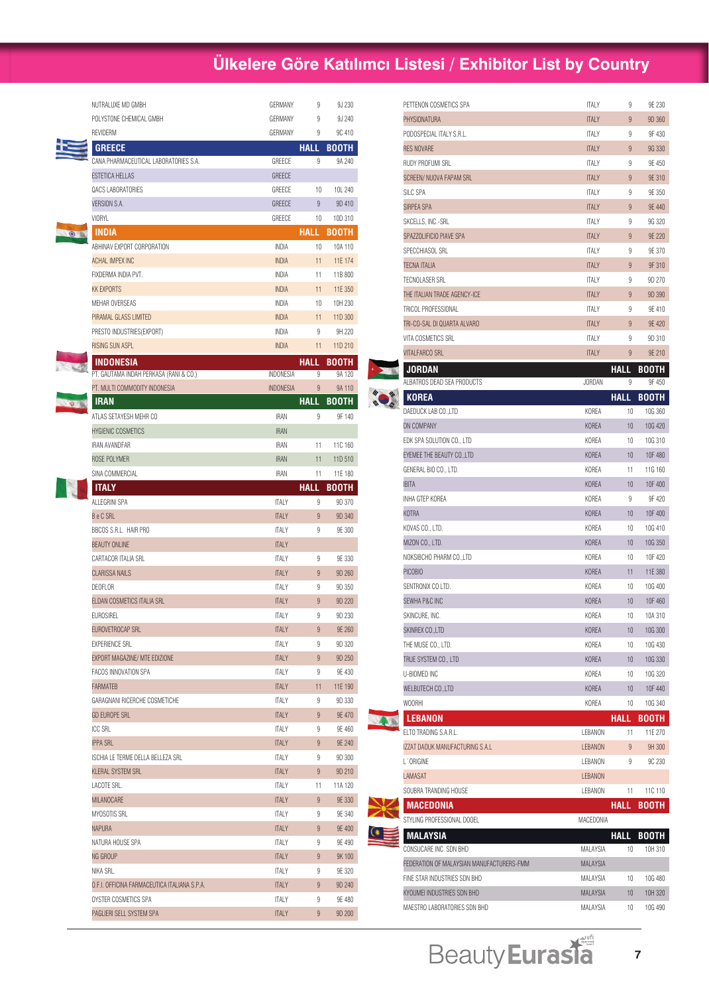|         | NUTRALUXE MD GMBH                                                    | GERMANY               | 9           | 9J 230           |
|---------|----------------------------------------------------------------------|-----------------------|-------------|------------------|
|         | POLYSTONE CHEMICAL GMBH                                              | GERMANY               | 9           | 9J 240           |
|         | REVIDERM                                                             | GERMANY               | 9           | 9C 410           |
|         | <b>GREECE</b>                                                        |                       | <b>HALL</b> | <b>BOOTH</b>     |
|         | CANA PHARMACEUTICAL LABORATORIES S.A.                                | GREECE                | 9           | 9A 240           |
|         | ESTETICA HELLAS                                                      | <b>GREECE</b>         |             |                  |
|         | QACS LABORATORIES                                                    | GREECE                | 10          | 10L 240          |
|         | VERSION S.A.                                                         | <b>GREECE</b>         | 9           | 9D 410           |
|         | <b>VIORYL</b>                                                        | GREECE                | 10          | 10D 310          |
| $\odot$ | INDIA                                                                |                       | <b>HALL</b> | BOOTH            |
|         | ABHINAV EXPORT CORPORATION                                           | INDIA                 | 10          | 10A 110          |
|         | <b>ACHAL IMPEX INC</b>                                               | <b>INDIA</b>          | 11          | 11E 174          |
|         | FIXDERMA INDIA PVT.                                                  | INDIA                 | 11          | 11B 800          |
|         | <b>KK EXPORTS</b>                                                    | <b>INDIA</b>          | 11          | 11E 350          |
|         | MEHAR OVERSEAS                                                       | INDIA                 | 10          | 10H 230          |
|         | PIRAMAL GLASS LIMITED                                                | <b>INDIA</b>          | 11          | 11D 300          |
|         | PRESTO INDUSTRIES (EXPORT)                                           | INDIA                 | 9           | 9H 220           |
|         | RISING SUN ASPL                                                      | <b>INDIA</b>          | 11          | 11D 210          |
|         | INDONESIA                                                            |                       | HALL        | BOOTH            |
|         | PT. GAUTAMA INDAH PERKASA (RANI & CO.)                               | INDONESIA             | 9           | 9A 120           |
|         | PT. MULTI COMMODITY INDONESIA                                        | <b>INDONESIA</b>      | 9           | 9A 110           |
|         | <b>IRAN</b>                                                          |                       | <b>HALL</b> | <b>BOOTH</b>     |
|         | ATLAS SETAYESH MEHR CO                                               | <b>IRAN</b>           | 9           | 9F 140           |
|         | <b>HYGIENIC COSMETICS</b>                                            | <b>IRAN</b>           |             |                  |
|         | <b>IRAN AVANDFAR</b>                                                 | IRAN                  | 11          | 11C 160          |
|         | ROSE POLYMER                                                         | <b>IRAN</b>           | 11          | 11D 510          |
|         | SINA COMMERCIAL                                                      | IRAN                  | 11          | 11E 180          |
|         | <b>ITALY</b>                                                         |                       | <b>HALL</b> | BOOTH            |
|         | ALLEGRINI SPA                                                        | <b>ITALY</b>          | 9           | 9D 370           |
|         | <b>Be C SRL</b>                                                      | <b>ITALY</b>          | 9           | 9D 340           |
|         | BBCOS S.R.L. HAIR PRO                                                | <b>ITALY</b>          | 9           | 9E 300           |
|         | <b>BEAUTY ONLINE</b>                                                 | <b>ITALY</b>          |             |                  |
|         | CARTACOR ITALIA SRL                                                  | <b>ITALY</b>          | 9           | 9E 330           |
|         | <b>CLARISSA NAILS</b>                                                | <b>ITALY</b>          | 9           | 9D 260           |
|         | DEOFLOR                                                              | <b>ITALY</b>          | 9           | 9D 350           |
|         | ELDAN COSMETICS ITALIA SRL                                           | <b>ITALY</b>          | 9           | 9D 220           |
|         | <b>EUROSIREL</b>                                                     | <b>ITALY</b>          | 9           | 9D 230           |
|         | EUROVETROCAP SRL                                                     | <b>ITALY</b>          | 9           | 9E 260           |
|         | <b>EXPERIENCE SRL</b>                                                | <b>ITALY</b>          | 9           | 9D 320           |
|         | EXPORT MAGAZINE/ MTE EDIZIONE                                        | <b>ITALY</b>          | 9           | 9D 250           |
|         | FACOS INNOVATION SPA                                                 | ITALY                 | 9           | 9E 430           |
|         | <b>FARMATEB</b>                                                      | <b>ITALY</b>          | 11          | 11E 190          |
|         | GARAGNANI RICERCHE COSMETICHE                                        | ITALY                 | 9           | 9D 330           |
|         | <b>GD EUROPE SRL</b>                                                 | <b>ITALY</b>          | 9           | 9E 470           |
|         | ICC SRL                                                              | <b>ITALY</b>          | 9           | 9E 460           |
|         | <b>IPPA SRL</b>                                                      | <b>ITALY</b>          | 9           | 9E 240           |
|         | ISCHIA LE TERME DELLA BELLEZA SRL                                    | ITALY                 | 9           | 9D 300           |
|         | <b>KLERAL SYSTEM SRL</b>                                             | <b>ITALY</b>          | 9           | 9D 210           |
|         | LACOTE SRL.                                                          | ITALY                 | 11          | 11A 120          |
|         | MILANOCARE                                                           | <b>ITALY</b>          | 9           | 9E 330           |
|         | MYOSOTIS SRL                                                         | ITALY                 | 9           | 9E 340           |
|         | NAPURA                                                               | <b>ITALY</b>          | 9           | 9E 400           |
|         | NATURA HOUSE SPA                                                     | ITALY                 | 9           | 9E 490           |
|         | NG GROUP                                                             | <b>ITALY</b>          | 9           | 9K 100           |
|         | NIKA SRL.                                                            | ITALY                 | 9           | 9E 320           |
|         |                                                                      |                       | 9           |                  |
|         | O.F.I. OFFICINA FARMACEUTICA ITALIANA S.P.A.<br>OYSTER COSMETICS SPA | <b>ITALY</b><br>ITALY | 9           | 9D 240<br>9E 480 |
|         | PAGLIERI SELL SYSTEM SPA                                             | <b>ITALY</b>          | 9           | 9D 200           |
|         |                                                                      |                       |             |                  |

|  | PETTENON COSMETICS SPA                    | <b>ITALY</b>         | 9                     | 9E 230             |
|--|-------------------------------------------|----------------------|-----------------------|--------------------|
|  | PHYSIONATURA                              | <b>ITALY</b>         | 9                     | 9D 360             |
|  | PODOSPECIAL ITALY S.R.L.                  | <b>ITALY</b>         | 9                     | 9F 430             |
|  | RES NOVARE                                | <b>ITALY</b>         | 9                     | 9G 330             |
|  | RUDY PROFUMI SRL                          | <b>ITALY</b>         | 9                     | 9E 450             |
|  | SCREEN/ NUOVA FAPAM SRL                   | <b>ITALY</b>         | 9                     | 9E 310             |
|  | SILC SPA                                  | <b>ITALY</b>         | 9                     | 9E 350             |
|  | SIRPEA SPA                                | <b>ITALY</b>         | 9                     | 9E 440             |
|  | SKCELLS, INC.-SRL                         | <b>ITALY</b>         | 9                     | 9G 320             |
|  | SPAZZOLIFICIO PIAVE SPA                   | <b>ITALY</b>         | 9                     | 9E 220             |
|  | SPECCHIASOL SRL                           | <b>ITALY</b>         | 9                     | 9E 370             |
|  | TECNA ITALIA                              | <b>ITALY</b>         | 9                     | 9F 310             |
|  | TECNOLASER SRL                            | <b>ITALY</b>         | 9                     | 9D 270             |
|  | THE ITALIAN TRADE AGENCY-ICE              | <b>ITALY</b>         | 9                     | 9D 390             |
|  | TRICOL PROFESSIONAL                       | <b>ITALY</b>         | 9                     | 9E 410             |
|  | TRI-CO-SAL DI QUARTA ALVARO               | <b>ITALY</b>         | 9                     | 9E 420             |
|  | VITA COSMETICS SRL                        | <b>ITALY</b>         | 9                     | 9D 310             |
|  | VITALFARCO SRL                            | <b>ITALY</b>         | 9                     | 9E 210             |
|  | <b>JORDAN</b>                             |                      | <b>HALL</b>           | <b>BOOTH</b>       |
|  | ALBATROS DEAD SEA PRODUCTS                | <b>JORDAN</b>        | 9                     | 9F 450             |
|  | <b>KOREA</b>                              |                      | HALL                  | <b>BOOTH</b>       |
|  | DAEDUCK LAB CO., LTD                      | KOREA                | 10                    | 10G 360            |
|  | DN COMPANY                                | <b>KOREA</b>         | 10                    | 10G 420            |
|  | EDK SPA SOLUTION CO., LTD                 | KOREA                | 10                    | 10G 310            |
|  | EYEMEE THE BEAUTY CO., LTD                | KOREA                | 10                    | 10F 480            |
|  | GENERAL BIO CO., LTD.                     | KOREA                | 11                    | 11G 160            |
|  | IBITA                                     | KOREA                | 10                    | 10F 400            |
|  | INHA GTEP KOREA                           | KOREA                | 9                     | 9F 420             |
|  | KOTRA                                     | KOREA                | 10                    | 10F 400            |
|  | KOVAS CO., LTD.                           | KOREA                | 10                    | 10G 410            |
|  | MIZON CO., LTD.                           | KOREA                | 10                    | 10G 350            |
|  | NOKSIBCHO PHARM CO.,LTD                   | KOREA                | 10                    | 10F 420            |
|  | PICOBIO                                   | KOREA                | 11                    | 11E 380            |
|  | SENTRONIX CO LTD.                         | KOREA                | 10                    | 10G 400            |
|  | SEWHA P&C INC                             | KOREA                | 10                    | 10F 460            |
|  | SKINCURE, INC.                            | KOREA                | 10                    | 10A 310            |
|  | SKINREX CO., LTD                          | KOREA                | 10                    | 10G 300            |
|  | THE MUSE CO., LTD.                        | KOREA                | 10                    | 10G 430            |
|  | TRUE SYSTEM CO., LTD                      | KOREA                | 10                    | 10G 330            |
|  | U-BIOMED INC                              | KOREA                | 10                    | 10G 320            |
|  | WELBUTECH CO.,LTD                         | KOREA                | 10                    | 10F 440            |
|  | WOORHI                                    | KOREA                | 10                    | 10G 340            |
|  | <b>LEBANON</b>                            |                      | HALL                  | BOOTH              |
|  | ELTO TRADING S.A.R.L.                     | LEBANON              | 11                    | 11E 270            |
|  | IZZAT DAOUK MANUFACTURING S.A.L           | LEBANON              | 9                     | 9H 300             |
|  | L'ORIGINE                                 | LEBANON              | 9                     | 9C 230             |
|  | LAMASAT                                   | LEBANON              |                       |                    |
|  | SOUBRA TRANDING HOUSE                     | LEBANON              | 11                    | 11C 110            |
|  | <b>MACEDONIA</b>                          |                      |                       |                    |
|  | STYLING PROFESSIONAL DOOEL                | MACEDONIA            | <b>HALL</b>           | <b>BOOTH</b>       |
|  |                                           |                      |                       |                    |
|  | <b>MALAYSIA</b><br>CONSUCARE INC. SDN BHD | MALAYSIA             | <b>HALL</b><br>10     | <b>BOOTH</b>       |
|  | FEDERATION OF MALAYSIAN MANUFACTURERS-FMM | MALAYSIA             |                       | 10H 310            |
|  | FINE STAR INDUSTRIES SDN BHD              |                      |                       |                    |
|  | KYOUMEI INDUSTRIES SDN BHD                | MALAYSIA<br>MALAYSIA | 10                    | 10G 480            |
|  | MAESTRO LABORATORIES SDN BHD              | MALAYSIA             | 10 <sup>°</sup><br>10 | 10H 320<br>10G 490 |
|  |                                           |                      |                       |                    |

Beauty Eurasia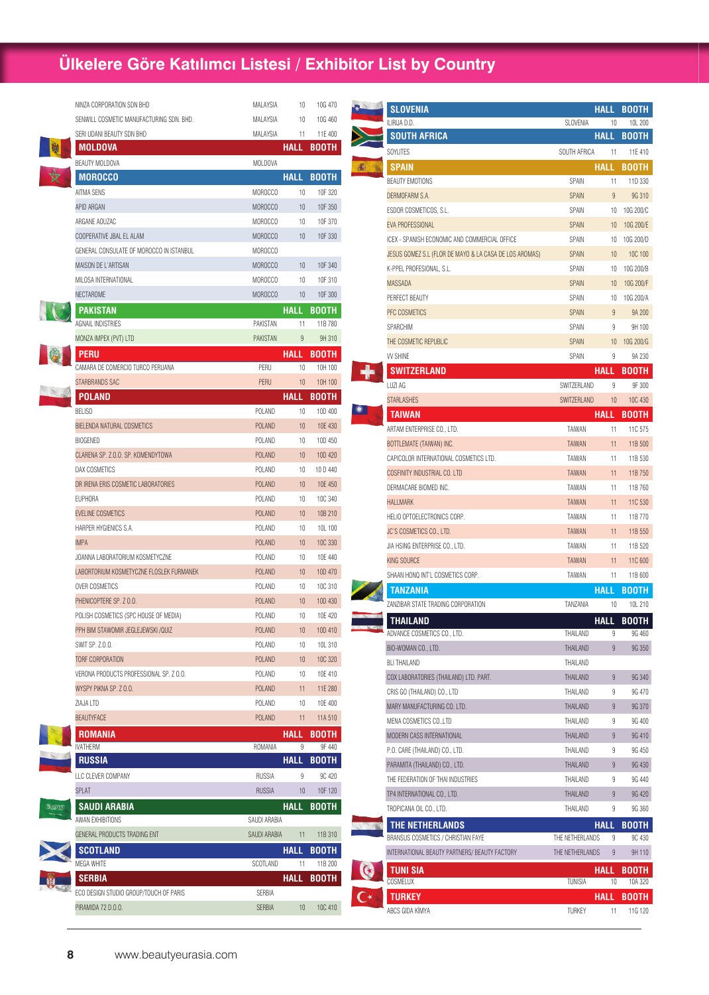| NINZA CORPORATION SDN BHD                | MALAYSIA        | 10              | 10G 470      |
|------------------------------------------|-----------------|-----------------|--------------|
| SENWILL COSMETIC MANUFACTURING SDN. BHD. | <b>MALAYSIA</b> | 10              | 10G 460      |
| SERI UDANI BEAUTY SDN BHD                | MALAYSIA        | 11              | 11E 400      |
| <b>MOLDOVA</b>                           |                 | <b>HALL</b>     | BOOTH        |
| BEAUTY MOLDOVA                           | MOLDOVA         |                 |              |
| <b>MOROCCO</b>                           |                 | <b>HALL</b>     | <b>BOOTH</b> |
| AITMA SENS                               | MOROCCO         | 10              | 10F 320      |
| APID ARGAN                               | <b>MOROCCO</b>  | 10              | 10F 350      |
| ARGANE AOUZAC                            | MOROCCO         | 10              | 10F 370      |
| COOPERATIVE JBAL EL ALAM                 | <b>MOROCCO</b>  | 10              | 10F 330      |
| GENERAL CONSULATE OF MOROCCO IN ISTANBUL | MOROCCO         |                 |              |
| MAISON DE L'ARTISAN                      | <b>MOROCCO</b>  | 10              | 10F 340      |
| MILOSA INTERNATIONAL                     | MOROCCO         | 10              | 10F 310      |
| NECTAROME                                | MOROCCO         | 10              | 10F 300      |
| PAKISTAN                                 |                 | <b>HALL</b>     | <b>BOOTH</b> |
| AGNAIL INDISTRIES                        | PAKISTAN        | 11              | 11B 780      |
| MONZA IMPEX (PVT) LTD                    | <b>PAKISTAN</b> | 9               | 9H 310       |
| Peru                                     |                 |                 | HALL BOOTH   |
| CAMARA DE COMERCIO TURCO PERUANA         | PERU            | 10              | 10H 100      |
| STARBRANDS SAC                           | <b>PERU</b>     | 10              | 10H 100      |
| POLAND                                   |                 | HALL            | <b>BOOTH</b> |
| BELISO                                   | POLAND          | 10              | 10D 400      |
| BIELENDA NATURAL COSMETICS               | <b>POLAND</b>   | 10              | 10E 430      |
| <b>BIOGENED</b>                          | POLAND          | 10              | 10D 450      |
| CLARENA SP. Z.O.O. SP. KOMENDYTOWA       | <b>POLAND</b>   | 10 <sup>°</sup> | 10D 420      |
| DAX COSMETICS                            | <b>POLAND</b>   | 10              | 10 D 440     |
| DR IRENA ERIS COSMETIC LABORATORIES      | <b>POLAND</b>   | 10              | 10E 450      |
| <b>EUPHORA</b>                           | POLAND          | 10              | 10C 340      |
| EVELINE COSMETICS                        | <b>POLAND</b>   | 10              | 10B 210      |
| HARPER HYGIENICS S.A.                    | POLAND          | 10              | 10L 100      |
| <b>IMPA</b>                              | <b>POLAND</b>   | 10              | 10C 330      |
| JOANNA LABORATORIUM KOSMETYCZNE          | POLAND          | 10              | 10E 440      |
| LABORTORIUM KOSMETYCZNE FLOSLEK FURMANEK | <b>POLAND</b>   | 10              | 10D 470      |
| OVER COSMETICS                           | POLAND          | 10              | 10C 310      |
| PHENICOPTERE SP. Z 0.0.                  | <b>POLAND</b>   | 10              | 10D 430      |
| POLISH COSMETICS (SPC HOUSE OF MEDIA)    | POLAND          | 10              | 10E 420      |
| PPH BIM STAWOMIR JEGLEJEWSKI / QUIZ      | POLAND          | 10              | 10D 410      |
| SWIT SP. Z.O.O.                          | POLAND          | 10              | 10L 310      |
| TORF CORPORATION                         | <b>POLAND</b>   | 10              | 10C 320      |
| VERONA PRODUCTS PROFESSIONAL SP. Z 0.0.  | POLAND          | 10              | 10E 410      |
| WYSPY PIKNA SP. Z 0.0.                   | <b>POLAND</b>   | 11              | 11E 280      |
| ZIAJA LTD                                | POLAND          | 10              | 10E 400      |
| <b>BEAUTYFACE</b>                        | <b>POLAND</b>   | 11              | 11A 510      |
| <b>ROMANIA</b>                           |                 | <b>HALL</b>     | <b>BOOTH</b> |
| IVATHERM                                 | ROMANIA         | 9               | 9F 440       |
| <b>RUSSIA</b>                            |                 | HALL            | <b>BOOTH</b> |
| LLC CLEVER COMPANY                       | <b>RUSSIA</b>   | 9               | 9C 420       |
| SPLAT                                    | <b>RUSSIA</b>   | 10 <sup>°</sup> | 10F 120      |
|                                          |                 |                 |              |
| SAUDI ARABIA<br>AWAN EXHIBITIONS         | SAUDI ARABIA    | HALL            | <b>BOOTH</b> |
| GENERAL PRODUCTS TRADING ENT             | SAUDI ARABIA    | 11              | 11B 310      |
|                                          |                 |                 |              |
| <b>SCOTLAND</b><br>MEGA WHITE            | SCOTLAND        | HALL            | <b>BOOTH</b> |
|                                          |                 | 11              | 11B 200      |
| <b>SERBIA</b>                            |                 | HALL            | <b>BOOTH</b> |
| ECO DESIGN STUDIO GROUP/TOUCH OF PARIS   | SERBIA          |                 |              |
| PIRAMIDA 72 D.O.O.                       | SERBIA          | 10              | 10C 410      |

| <b>SLOVENIA</b>                                        |                 | HALL           | <b>BOOTH</b> |
|--------------------------------------------------------|-----------------|----------------|--------------|
| ILIRIJA D.D.                                           | <b>SLOVENIA</b> | 10             | 10L 200      |
| <b>SOUTH AFRICA</b>                                    |                 | HALL           | <b>BOOTH</b> |
| SOYLITES                                               | SOUTH AFRICA    | 11             | 11E 410      |
| <b>SPAIN</b>                                           |                 | <b>HALL</b>    | <b>BOOTH</b> |
| <b>BEAUTY EMOTIONS</b>                                 | SPAIN           | 11             | 11D 330      |
| DERMOFARM S.A.                                         | <b>SPAIN</b>    | 9              | 9G 310       |
| ESDOR COSMETICOS, S.L.                                 | SPAIN           | 10             | 10G 200/C    |
| EVA PROFESSIONAL                                       | <b>SPAIN</b>    | 10             | 10G 200/E    |
| ICEX - SPANISH ECONOMIC AND COMMERCIAL OFFICE          | <b>SPAIN</b>    | 10             | 10G 200/D    |
| JESUS GOMEZ S.L (FLOR DE MAYO & LA CASA DE LOS AROMAS) | <b>SPAIN</b>    | 10             | 10C 100      |
| K-PPEL PROFESIONAL, S.L.                               | SPAIN           | 10             | 10G 200/B    |
| MASSADA                                                | <b>SPAIN</b>    | 10             | 10G 200/F    |
| PERFECT BEAUTY                                         | <b>SPAIN</b>    | 10             | 10G 200/A    |
| PFC COSMETICS                                          | <b>SPAIN</b>    | 9              | 9A 200       |
| <b>SPARCHIM</b>                                        | SPAIN           | 9              | 9H 100       |
| THE COSMETIC REPUBLIC                                  | <b>SPAIN</b>    | 10             | 10G 200/G    |
| <b>W SHINE</b>                                         | SPAIN           | 9              | 9A 230       |
| <b>SWITZERLAND</b>                                     |                 | <b>HALL</b>    | <b>BOOTH</b> |
| LUZI AG                                                | SWITZERLAND     | 9              | 9F 300       |
| <b>STARLASHES</b>                                      | SWITZERLAND     | 10             | 10C 430      |
| <b>TAIWAN</b>                                          |                 | <b>HALL</b>    | <b>BOOTH</b> |
| ARTAM ENTERPRISE CO., LTD.                             | TAIWAN          | 11             | 11C 575      |
| BOTTLEMATE (TAIWAN) INC.                               | <b>TAIWAN</b>   | 11             | 11B 500      |
| CAPICOLOR INTERNATIONAL COSMETICS LTD.                 | TAIWAN          | 11             | 11B 530      |
| <b>COSFINITY INDUSTRIAL CO. LTD</b>                    | <b>TAIWAN</b>   | 11             | 11B 750      |
| DERMACARE BIOMED INC.                                  | TAIWAN          | 11             | 11B 760      |
| <b>HALLMARK</b>                                        | <b>TAIWAN</b>   | 11             | 11C 530      |
| HELIO OPTOELECTRONICS CORP.                            | TAIWAN          | 11             | 11B 770      |
| JC'S COSMETICS CO., LTD.                               | <b>TAIWAN</b>   | 11             | 11B 550      |
| JIA HSING ENTERPRISE CO., LTD.                         | TAIWAN          | 11             | 11B 520      |
| KING SOURCE                                            | <b>TAIWAN</b>   | 11             | 11C 600      |
| SHAAN HONQ INT'L COSMETICS CORP.                       | TAIWAN          | 11             | 11B 600      |
| <b>TANZANIA</b>                                        |                 | HALL           | <u>BOOTH</u> |
| ZANZIBAR STATE TRADING CORPORATION                     | TANZANIA        | 10             | 10L 210      |
| <b>THAILAND</b>                                        |                 | <b>HALL</b>    | <b>BOOTH</b> |
| ADVANCE COSMETICS CO., LTD.                            | THAILAND        | 9              | 9G 460       |
| BIO-WOMAN CO., LTD.                                    | THAILAND        | $\overline{9}$ | 9G 350       |
| <b>BLI THAILAND</b>                                    | THAILAND        |                |              |
| COX LABORATORIES (THAILAND) LTD. PART.                 | THAILAND        | 9              | 9G 340       |
| CRIS GO (THAILAND) CO., LTD                            | THAILAND        | 9              | 9G 470       |
| MARY MANUFACTURING CO. LTD.                            | THAILAND        | 9              | 9G 370       |
| MENA COSMETICS CO., LTD                                | THAILAND        | 9              | 9G 400       |
| MODERN CASS INTERNATIONAL                              | THAILAND        | 9              | 9G 410       |
| P.O. CARE (THAILAND) CO., LTD.                         | THAILAND        | 9              | 9G 450       |
| PARAMITA (THAILAND) CO., LTD.                          | THAILAND        | 9              | 9G 430       |
| THE FEDERATION OF THAI INDUSTRIES                      | THAILAND        | 9              | 9G 440       |
| TP4 INTERNATIONAL CO., LTD.                            | THAILAND        | 9              | 9G 420       |
| TROPICANA OIL CO., LTD.                                | THAILAND        | 9              | 9G 360       |
| THE NETHERLANDS                                        |                 | HALL           | <b>BOOTH</b> |
| BRANSUS COSMETICS / CHRISTIAN FAYE                     | THE NETHERLANDS | 9              | 9C 430       |
| INTERNATIONAL BEAUTY PARTNERS/ BEAUTY FACTORY          | THE NETHERLANDS | 9              | 9H 110       |
| TUNI SIA                                               |                 | HALL           | BOOTH        |
| COSMELUX                                               | TUNISIA         | 10             | 10A 320      |
| <b>TURKEY</b>                                          |                 | HALL           | <b>BOOTH</b> |
| ABCS GIDA KİMYA                                        | TURKEY          | 11             | 11G 120      |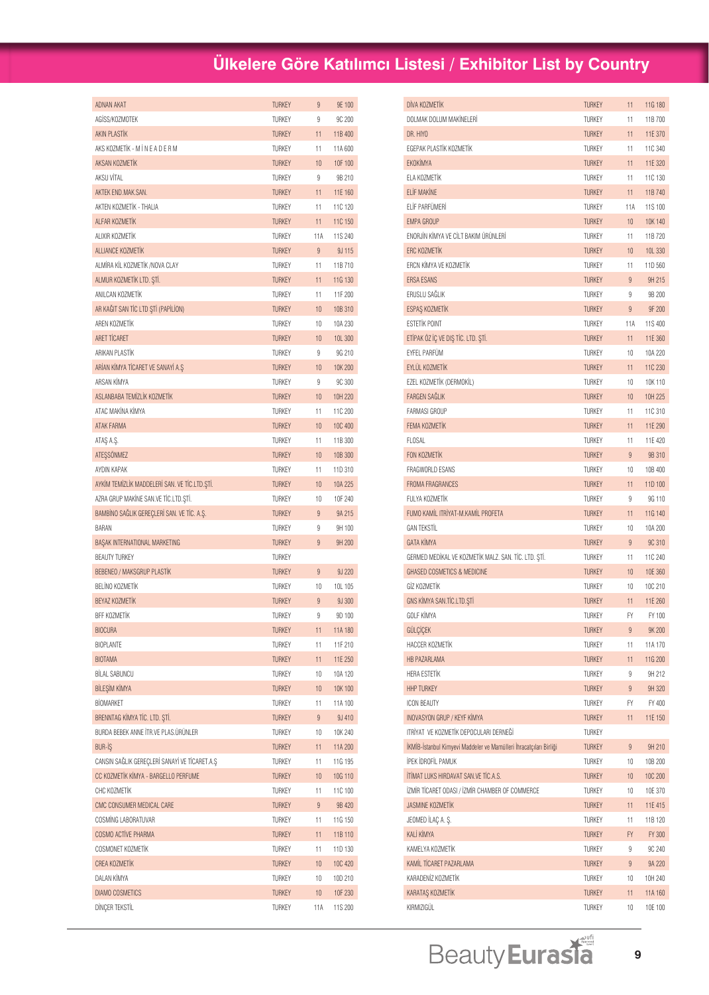| ADNAN AKAT                                    | <b>TURKEY</b> | $\overline{9}$ | 9E 100  |
|-----------------------------------------------|---------------|----------------|---------|
| AGISS/KOZMOTEK                                | <b>TURKEY</b> | 9              | 9C 200  |
| <b>AKIN PLASTIK</b>                           | <b>TURKEY</b> | 11             | 11B 400 |
| AKS KOZMETİK - M İ N E A D E R M              | <b>TURKEY</b> | 11             | 11A 600 |
| AKSAN KOZMETİK                                | <b>TURKEY</b> | 10             | 10F 100 |
| AKSU VÍTAL                                    | <b>TURKEY</b> | 9              | 9B 210  |
| AKTEK END.MAK.SAN.                            | <b>TURKEY</b> | 11             | 11E 160 |
| AKTEN KOZMETİK - THALIA                       | <b>TURKEY</b> | 11             | 11C 120 |
| ALFAR KOZMETİK                                | <b>TURKEY</b> | 11             | 11C 150 |
| AI IXIR KOZMETİK                              | <b>TURKEY</b> | 11A            | 11S 240 |
| ALLIANCE KOZMETİK                             | <b>TURKEY</b> | $\overline{9}$ | 9J 115  |
| ALMÍRA KÍL KOZMETÍK /NOVA CLAY                | <b>TURKEY</b> | 11             | 11B 710 |
| ALMUR KOZMETİK LTD. ŞTİ.                      | <b>TURKEY</b> | 11             | 11G 130 |
| ANILCAN KOZMETİK                              | <b>TURKEY</b> | 11             | 11F 200 |
| AR KAĞIT SAN TİC LTD ŞTİ (PAPİLİON)           | <b>TURKEY</b> | 10             | 10B 310 |
| AREN KOZMETİK                                 | <b>TURKEY</b> | 10             | 10A 230 |
| ARET TİCARET                                  | <b>TURKEY</b> | 10             | 10L 300 |
| ARIKAN PLASTIK                                | <b>TURKEY</b> | 9              | 9G 210  |
| ARÍAN KÍMYA TÍCARET VE SANAYÍ A.S             | <b>TURKEY</b> | 10             | 10K 200 |
| ARSAN KİMYA                                   | <b>TURKEY</b> | 9              | 9C 300  |
| ASLANBABA TEMİZLİK KOZMETİK                   | <b>TURKEY</b> | 10             | 10H 220 |
| ATAC MAKİNA KİMYA                             | <b>TURKEY</b> | 11             | 11C 200 |
| <b>ATAK FARMA</b>                             | <b>TURKEY</b> | 10             | 10C 400 |
| ATAŞ A.Ş.                                     | <b>TURKEY</b> | 11             | 11B 300 |
| ATESSONMEZ                                    | <b>TURKEY</b> | 10             | 10B 300 |
| AYDIN KAPAK                                   | <b>TURKEY</b> | 11             | 11D 310 |
| AYKİM TEMİZLİK MADDELERİ SAN. VE TİC.LTD.ŞTİ. | <b>TURKEY</b> | 10             | 10A 225 |
| AZRA GRUP MAKİNE SAN.VE TİC.LTD.ŞTİ.          | <b>TURKEY</b> | 10             | 10F 240 |
| BAMBINO SAĞLIK GEREÇLERI SAN. VE TIC. A.Ş.    | <b>TURKEY</b> | 9              | 9A 215  |
| BARAN                                         | <b>TURKEY</b> | 9              | 9H 100  |
| BAŞAK INTERNATIONAL MARKETING                 | <b>TURKEY</b> | $\overline{9}$ | 9H 200  |
| <b>BEAUTY TURKEY</b>                          | <b>TURKEY</b> |                |         |
| <b>BEBENEO / MAKSGRUP PLASTIK</b>             | <b>TURKEY</b> | $\overline{9}$ | 9J 220  |
| BELİNO KOZMETİK                               | TURKEY        | 10             | 10L 105 |
| BEYAZ KOZMETİK                                | <b>TURKEY</b> | $\overline{9}$ | 9J 300  |
| BFF KOZMETİK                                  | TURKEY        | 9              | 9D 100  |
| <b>BIOCURA</b>                                | <b>TURKEY</b> | 11             | 11A 180 |
| <b>BIOPLANTE</b>                              | TURKEY        | 11             | 11F 210 |
| <b>BIOTAMA</b>                                | <b>TURKEY</b> | 11             | 11E 250 |
| <b>BİLAL SABUNCU</b>                          | TURKEY        | 10             | 10A 120 |
| <b>BİLESİM KİMYA</b>                          | <b>TURKEY</b> | 10             | 10K 100 |
| <b>BİOMARKET</b>                              | TURKEY        | 11             | 11A 100 |
| BRENNTAG KİMYA TİC. LTD. ŞTİ.                 | TURKEY        | 9              | 9J 410  |
| BURDA BEBEK ANNE İTR.VE PLAS.ÜRÜNLER          | TURKEY        | 10             | 10K 240 |
| <b>BUR-IS</b>                                 | <b>TURKEY</b> | 11             | 11A 200 |
| CANSIN SAĞLIK GEREÇLERİ SANAYİ VE TİCARET.A.Ş | <b>TURKEY</b> | 11             | 11G 195 |
| CC KOZMETİK KİMYA - BARGELLO PERFUME          | <b>TURKEY</b> | 10             | 10G 110 |
| CHC KOZMETIK                                  | TURKEY        | 11             | 11C 100 |
| CMC CONSUMER MEDICAL CARE                     | <b>TURKEY</b> | 9              | 9B 420  |
| COSMING LABORATUVAR                           | TURKEY        | 11             | 11G 150 |
| COSMO ACTIVE PHARMA                           | <b>TURKEY</b> | 11             | 11B 110 |
| COSMONET KOZMETİK                             | TURKEY        | 11             | 11D 130 |
| <b>CREA KOZMETİK</b>                          | <b>TURKEY</b> | 10             | 10C 420 |
| DALAN KİMYA                                   | TURKEY        | 10             | 10D 210 |
| <b>DIAMO COSMETICS</b>                        | <b>TURKEY</b> | 10             | 10F 230 |
| DİNÇER TEKSTİL                                | TURKEY        | 11A            | 11S 200 |
|                                               |               |                |         |

| DİVA KOZMETİK                                                      | <b>TURKEY</b> | 11             | 11G 180            |
|--------------------------------------------------------------------|---------------|----------------|--------------------|
| DOLMAK DOLUM MAKİNELERİ                                            | TURKEY        | 11             | 11B 700            |
| DR. HIYO                                                           | <b>TURKEY</b> | 11             | 11E 370            |
| EGEPAK PLASTİK KOZMETİK                                            | <b>TURKEY</b> | 11             | 11C 340            |
| EKOKİMYA                                                           | <b>TURKEY</b> | 11             | 11E 320            |
| FLA KOZMETİK                                                       | TURKEY        | 11             | 11C 130            |
| <b>ELİF MAKİNE</b>                                                 | <b>TURKEY</b> | 11             | 11B 740            |
| FLİF PARFÜMERİ                                                     | <b>TURKEY</b> | 11A            | 11S 100            |
| <b>EMPA GROUP</b>                                                  | <b>TURKEY</b> | 10             | 10K 140            |
| ENORJÎN KÎMYA VE CÎLT BAKIM ÜRÜNLERÎ                               | <b>TURKEY</b> | 11             | 11B 720            |
| <b>FRC KOZMETİK</b>                                                | <b>TURKEY</b> | 10             | 10L 330            |
| <b>FRCN KİMYA VE KOZMETİK</b>                                      | TURKEY        | 11             | 11D 560            |
| <b>ERSA ESANS</b>                                                  | <b>TURKEY</b> | 9              | 9H 215             |
| ERUSLU SAĞLIK                                                      | <b>TURKEY</b> | 9              | 9B 200             |
| ESPAŞ KOZMETİK                                                     | <b>TURKEY</b> | $\overline{9}$ | 9F 200             |
| <b>ESTETIK POINT</b>                                               | <b>TURKEY</b> | 11A            | 11S 400            |
| ETİPAK ÖZ İÇ VE DIŞ TİC. LTD. ŞTİ.                                 | <b>TURKEY</b> | 11             | 11E 360            |
| <b>EYFEL PARFÜM</b>                                                | TURKEY        | 10             | 10A 220            |
| EYLÜL KOZMETİK                                                     | <b>TURKEY</b> | 11             | 11C 230            |
| EZEL KOZMETİK (DERMOKİL)                                           | <b>TURKEY</b> | 10             | 10K 110            |
| <b>FARGEN SAĞLIK</b>                                               | <b>TURKEY</b> | 10             | 10H 225            |
| <b>FARMASI GROUP</b>                                               | TURKEY        | 11             | 11C 310            |
| <b>FEMA KOZMETİK</b>                                               | <b>TURKEY</b> | 11             | 11E 290            |
| <b>FLOSAL</b>                                                      | TURKEY        | 11             | 11E 420            |
| <b>FON KOZMETIK</b>                                                | <b>TURKEY</b> | 9              | 9B 310             |
| <b>FRAGWORLD ESANS</b>                                             | TURKEY        | 10             | 10B 400            |
| <b>FROMA FRAGRANCES</b>                                            | <b>TURKEY</b> | 11             | 11D 100            |
| FULYA KOZMETİK                                                     | <b>TURKEY</b> | 9              | 9G 110             |
| FUMO KAMİL ITRİYAT-M.KAMİL PROFETA                                 | <b>TURKEY</b> | 11             | 11G 140            |
| <b>GAN TEKSTIL</b>                                                 | <b>TURKEY</b> | 10             | 10A 200            |
| <b>GATA KİMYA</b>                                                  | <b>TURKEY</b> | 9              | 9C 310             |
| GERMED MEDİKAL VE KOZMETİK MALZ. SAN. TİC. LTD. STİ.               | TURKEY        | 11             | 11C 240            |
| <b>GHASED COSMETICS &amp; MEDICINE</b>                             | <b>TURKEY</b> | 10             | 10E 360            |
| GİZ KOZMETİK                                                       |               |                |                    |
| GNS KİMYA SAN.TİC.LTD.STİ                                          | TURKEY        | 10<br>11       | 10C 210<br>11E 260 |
|                                                                    | <b>TURKEY</b> |                |                    |
| GOLF KİMYA                                                         | TURKEY        | FY             | FY 100             |
| <b>GULCICEK</b><br>HACCER KOZMETİK                                 | <b>TURKEY</b> | 9              | 9K 200             |
|                                                                    | TURKEY        | 11             | 11A 170            |
| HB PAZARLAMA                                                       | <b>TURKEY</b> | 11             | 11G 200            |
| <b>HERA ESTETIK</b>                                                | TURKEY        | 9              | 9H 212             |
| <b>HHP TURKEY</b>                                                  | <b>TURKEY</b> | 9              | 9H 320             |
| ICON BEAUTY                                                        | TURKEY        | FY             | FY 400             |
| INOVASYON GRUP / KEYF KİMYA                                        | <b>TURKEY</b> | 11             | 11E 150            |
| ITRİYAT VE KOZMETİK DEPOCULARI DERNEĞİ                             | TURKEY        |                |                    |
| İKMİB-İstanbul Kimyevi Maddeler ve Mamülleri İhracatçıları Birliği | <b>TURKEY</b> | 9              | 9H 210             |
| İPEK İDROFİL PAMUK                                                 | TURKEY        | 10             | 10B 200            |
| <b>İTİMAT LUKS HIRDAVAT SAN.VE TİC.A.S.</b>                        | <b>TURKEY</b> | 10             | 10C 200            |
| İZMİR TİCARET ODASI / İZMİR CHAMBER OF COMMERCE                    | TURKEY        | 10             | 10E 370            |
| <b>JASMINE KOZMETİK</b>                                            | <b>TURKEY</b> | 11             | 11E 415            |
| JEOMED İLAÇ A. Ş.                                                  | TURKEY        | 11             | 11B 120            |
| KALİ KİMYA                                                         | <b>TURKEY</b> | FY.            | FY 300             |
| KAMELYA KOZMETİK                                                   | TURKEY        | 9              | 9C 240             |
| KAMİL TİCARET PAZARLAMA                                            | <b>TURKEY</b> | 9              | 9A 220             |
| KARADENİZ KOZMETİK                                                 | TURKEY        | 10             | 10H 240            |
| KARATAŞ KOZMETİK                                                   | <b>TURKEY</b> | 11             | 11A 160            |
| KIRMIZIGÜL                                                         | TURKEY        | 10             | 10E 100            |

Beauty Eurasia